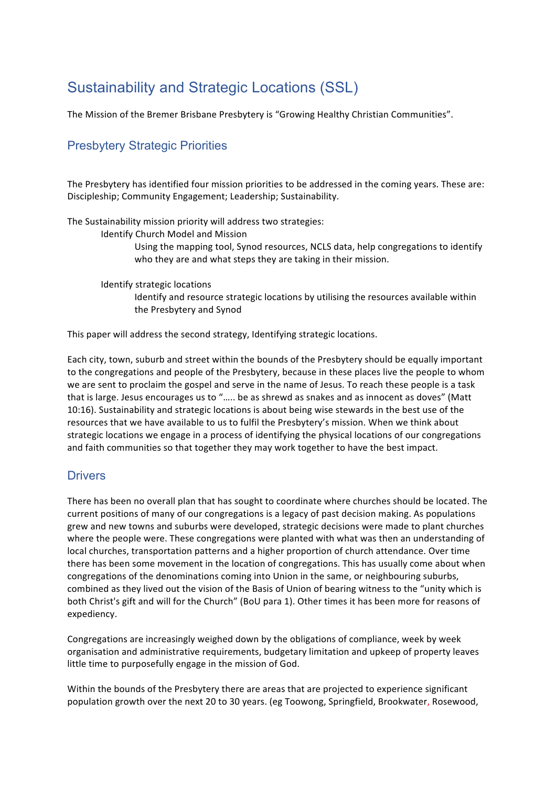# Sustainability and Strategic Locations (SSL)

The Mission of the Bremer Brisbane Presbytery is "Growing Healthy Christian Communities".

# Presbytery Strategic Priorities

The Presbytery has identified four mission priorities to be addressed in the coming years. These are: Discipleship; Community Engagement; Leadership; Sustainability.

The Sustainability mission priority will address two strategies:

Identify Church Model and Mission

Using the mapping tool, Synod resources, NCLS data, help congregations to identify who they are and what steps they are taking in their mission.

Identify strategic locations Identify and resource strategic locations by utilising the resources available within the Presbytery and Synod

This paper will address the second strategy, Identifying strategic locations.

Each city, town, suburb and street within the bounds of the Presbytery should be equally important to the congregations and people of the Presbytery, because in these places live the people to whom we are sent to proclaim the gospel and serve in the name of Jesus. To reach these people is a task that is large. Jesus encourages us to "..... be as shrewd as snakes and as innocent as doves" (Matt 10:16). Sustainability and strategic locations is about being wise stewards in the best use of the resources that we have available to us to fulfil the Presbytery's mission. When we think about strategic locations we engage in a process of identifying the physical locations of our congregations and faith communities so that together they may work together to have the best impact.

# **Drivers**

There has been no overall plan that has sought to coordinate where churches should be located. The current positions of many of our congregations is a legacy of past decision making. As populations grew and new towns and suburbs were developed, strategic decisions were made to plant churches where the people were. These congregations were planted with what was then an understanding of local churches, transportation patterns and a higher proportion of church attendance. Over time there has been some movement in the location of congregations. This has usually come about when congregations of the denominations coming into Union in the same, or neighbouring suburbs, combined as they lived out the vision of the Basis of Union of bearing witness to the "unity which is both Christ's gift and will for the Church" (BoU para 1). Other times it has been more for reasons of expediency. 

Congregations are increasingly weighed down by the obligations of compliance, week by week organisation and administrative requirements, budgetary limitation and upkeep of property leaves little time to purposefully engage in the mission of God.

Within the bounds of the Presbytery there are areas that are projected to experience significant population growth over the next 20 to 30 years. (eg Toowong, Springfield, Brookwater, Rosewood,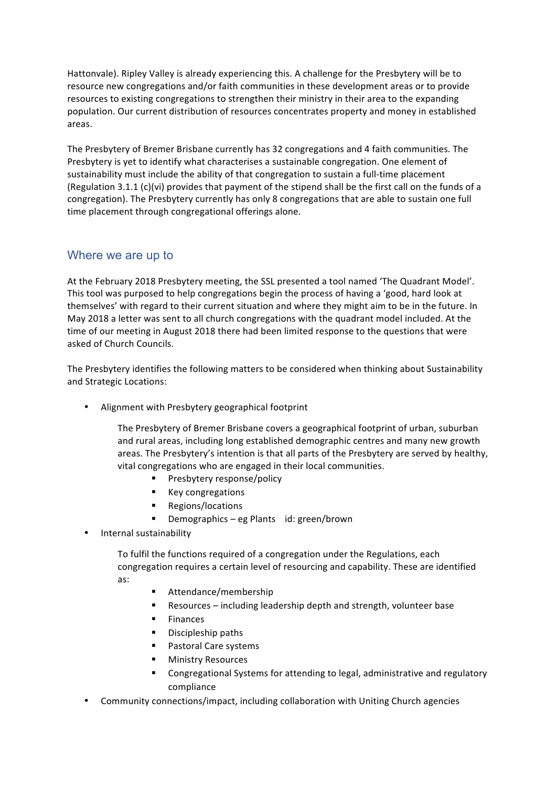Hattonvale). Ripley Valley is already experiencing this. A challenge for the Presbytery will be to resource new congregations and/or faith communities in these development areas or to provide resources to existing congregations to strengthen their ministry in their area to the expanding population. Our current distribution of resources concentrates property and money in established areas.

The Presbytery of Bremer Brisbane currently has 32 congregations and 4 faith communities. The Presbytery is yet to identify what characterises a sustainable congregation. One element of sustainability must include the ability of that congregation to sustain a full-time placement (Regulation 3.1.1  $(c)(vi)$  provides that payment of the stipend shall be the first call on the funds of a congregation). The Presbytery currently has only 8 congregations that are able to sustain one full time placement through congregational offerings alone.

# Where we are up to

At the February 2018 Presbytery meeting, the SSL presented a tool named 'The Quadrant Model'. This tool was purposed to help congregations begin the process of having a 'good, hard look at themselves' with regard to their current situation and where they might aim to be in the future. In May 2018 a letter was sent to all church congregations with the quadrant model included. At the time of our meeting in August 2018 there had been limited response to the questions that were asked of Church Councils.

The Presbytery identifies the following matters to be considered when thinking about Sustainability and Strategic Locations:

Alignment with Presbytery geographical footprint

The Presbytery of Bremer Brisbane covers a geographical footprint of urban, suburban and rural areas, including long established demographic centres and many new growth areas. The Presbytery's intention is that all parts of the Presbytery are served by healthy, vital congregations who are engaged in their local communities.

- Presbytery response/policy
- Key congregations
- Regions/locations
- Demographics eg Plants id: green/brown
- Internal sustainability

To fulfil the functions required of a congregation under the Regulations, each congregation requires a certain level of resourcing and capability. These are identified as:

- Attendance/membership
- Resources including leadership depth and strength, volunteer base
- **Finances**
- Discipleship paths
- Pastoral Care systems
- § Ministry Resources
- **•** Congregational Systems for attending to legal, administrative and regulatory compliance
- Community connections/impact, including collaboration with Uniting Church agencies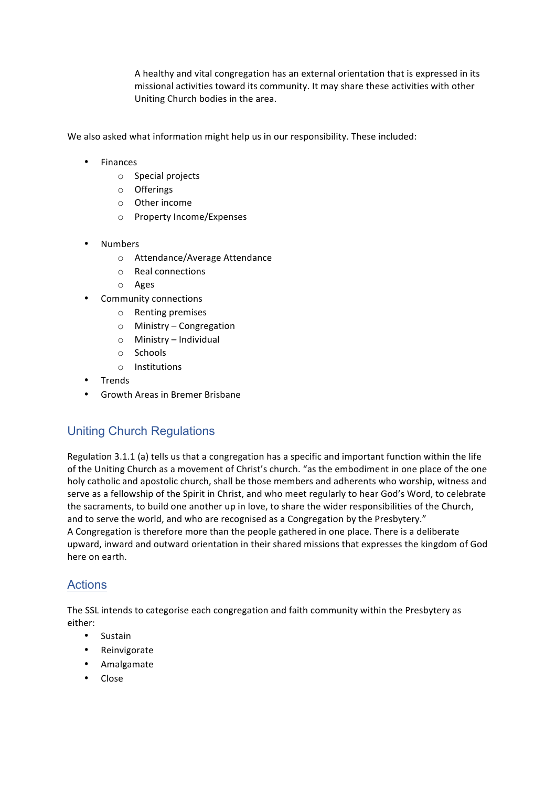A healthy and vital congregation has an external orientation that is expressed in its missional activities toward its community. It may share these activities with other Uniting Church bodies in the area.

We also asked what information might help us in our responsibility. These included:

- Finances
	- o Special projects
	- o Offerings
	- $\circ$  Other income
	- o Property Income/Expenses
- Numbers
	- o Attendance/Average Attendance
	- o Real connections
	- o Ages
- Community connections
	- $\circ$  Renting premises
	- $\circ$  Ministry Congregation
	- $\circ$  Ministry Individual
	- o Schools
	- o Institutions
- Trends
- Growth Areas in Bremer Brisbane

# Uniting Church Regulations

Regulation 3.1.1 (a) tells us that a congregation has a specific and important function within the life of the Uniting Church as a movement of Christ's church. "as the embodiment in one place of the one holy catholic and apostolic church, shall be those members and adherents who worship, witness and serve as a fellowship of the Spirit in Christ, and who meet regularly to hear God's Word, to celebrate the sacraments, to build one another up in love, to share the wider responsibilities of the Church, and to serve the world, and who are recognised as a Congregation by the Presbytery." A Congregation is therefore more than the people gathered in one place. There is a deliberate upward, inward and outward orientation in their shared missions that expresses the kingdom of God here on earth.

# **Actions**

The SSL intends to categorise each congregation and faith community within the Presbytery as either:

- Sustain
- Reinvigorate
- Amalgamate
- Close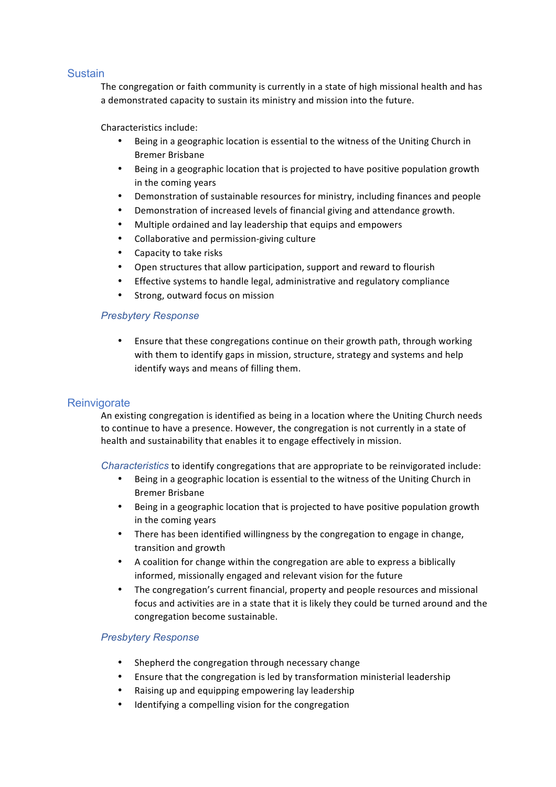# **Sustain**

The congregation or faith community is currently in a state of high missional health and has a demonstrated capacity to sustain its ministry and mission into the future.

# Characteristics include:

- Being in a geographic location is essential to the witness of the Uniting Church in Bremer Brisbane
- Being in a geographic location that is projected to have positive population growth in the coming years
- Demonstration of sustainable resources for ministry, including finances and people
- Demonstration of increased levels of financial giving and attendance growth.
- Multiple ordained and lay leadership that equips and empowers
- Collaborative and permission-giving culture
- Capacity to take risks
- Open structures that allow participation, support and reward to flourish
- Effective systems to handle legal, administrative and regulatory compliance
- Strong, outward focus on mission

#### *Presbytery Response*

• Ensure that these congregations continue on their growth path, through working with them to identify gaps in mission, structure, strategy and systems and help identify ways and means of filling them.

# **Reinvigorate**

An existing congregation is identified as being in a location where the Uniting Church needs to continue to have a presence. However, the congregation is not currently in a state of health and sustainability that enables it to engage effectively in mission.

*Characteristics* to identify congregations that are appropriate to be reinvigorated include:

- Being in a geographic location is essential to the witness of the Uniting Church in Bremer Brisbane
- Being in a geographic location that is projected to have positive population growth in the coming years
- There has been identified willingness by the congregation to engage in change, transition and growth
- A coalition for change within the congregation are able to express a biblically informed, missionally engaged and relevant vision for the future
- The congregation's current financial, property and people resources and missional focus and activities are in a state that it is likely they could be turned around and the congregation become sustainable.

#### *Presbytery Response*

- Shepherd the congregation through necessary change
- Ensure that the congregation is led by transformation ministerial leadership
- Raising up and equipping empowering lay leadership
- Identifying a compelling vision for the congregation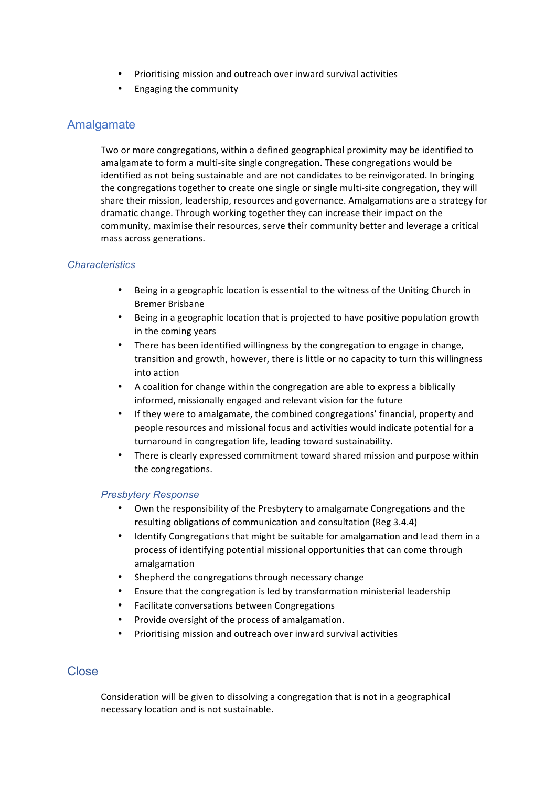- Prioritising mission and outreach over inward survival activities
- Engaging the community

# Amalgamate

Two or more congregations, within a defined geographical proximity may be identified to amalgamate to form a multi-site single congregation. These congregations would be identified as not being sustainable and are not candidates to be reinvigorated. In bringing the congregations together to create one single or single multi-site congregation, they will share their mission, leadership, resources and governance. Amalgamations are a strategy for dramatic change. Through working together they can increase their impact on the community, maximise their resources, serve their community better and leverage a critical mass across generations.

# *Characteristics*

- Being in a geographic location is essential to the witness of the Uniting Church in Bremer Brisbane
- Being in a geographic location that is projected to have positive population growth in the coming years
- There has been identified willingness by the congregation to engage in change, transition and growth, however, there is little or no capacity to turn this willingness into action
- A coalition for change within the congregation are able to express a biblically informed, missionally engaged and relevant vision for the future
- If they were to amalgamate, the combined congregations' financial, property and people resources and missional focus and activities would indicate potential for a turnaround in congregation life, leading toward sustainability.
- There is clearly expressed commitment toward shared mission and purpose within the congregations.

# *Presbytery Response*

- Own the responsibility of the Presbytery to amalgamate Congregations and the resulting obligations of communication and consultation (Reg 3.4.4)
- Identify Congregations that might be suitable for amalgamation and lead them in a process of identifying potential missional opportunities that can come through amalgamation
- Shepherd the congregations through necessary change
- Ensure that the congregation is led by transformation ministerial leadership
- Facilitate conversations between Congregations
- Provide oversight of the process of amalgamation.
- Prioritising mission and outreach over inward survival activities

# **Close**

Consideration will be given to dissolving a congregation that is not in a geographical necessary location and is not sustainable.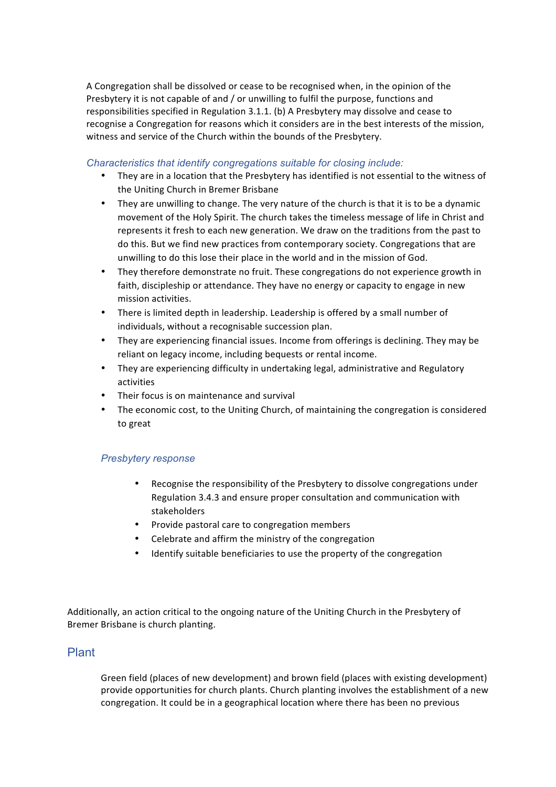A Congregation shall be dissolved or cease to be recognised when, in the opinion of the Presbytery it is not capable of and  $/$  or unwilling to fulfil the purpose, functions and responsibilities specified in Regulation  $3.1.1$ . (b) A Presbytery may dissolve and cease to recognise a Congregation for reasons which it considers are in the best interests of the mission, witness and service of the Church within the bounds of the Presbytery.

#### *Characteristics that identify congregations suitable for closing include:*

- They are in a location that the Presbytery has identified is not essential to the witness of the Uniting Church in Bremer Brisbane
- They are unwilling to change. The very nature of the church is that it is to be a dynamic movement of the Holy Spirit. The church takes the timeless message of life in Christ and represents it fresh to each new generation. We draw on the traditions from the past to do this. But we find new practices from contemporary society. Congregations that are unwilling to do this lose their place in the world and in the mission of God.
- They therefore demonstrate no fruit. These congregations do not experience growth in faith, discipleship or attendance. They have no energy or capacity to engage in new mission activities.
- There is limited depth in leadership. Leadership is offered by a small number of individuals, without a recognisable succession plan.
- They are experiencing financial issues. Income from offerings is declining. They may be reliant on legacy income, including bequests or rental income.
- They are experiencing difficulty in undertaking legal, administrative and Regulatory activities
- Their focus is on maintenance and survival
- The economic cost, to the Uniting Church, of maintaining the congregation is considered to great

# *Presbytery response*

- Recognise the responsibility of the Presbytery to dissolve congregations under Regulation 3.4.3 and ensure proper consultation and communication with stakeholders
- Provide pastoral care to congregation members
- Celebrate and affirm the ministry of the congregation
- Identify suitable beneficiaries to use the property of the congregation

Additionally, an action critical to the ongoing nature of the Uniting Church in the Presbytery of Bremer Brisbane is church planting.

# Plant

Green field (places of new development) and brown field (places with existing development) provide opportunities for church plants. Church planting involves the establishment of a new congregation. It could be in a geographical location where there has been no previous